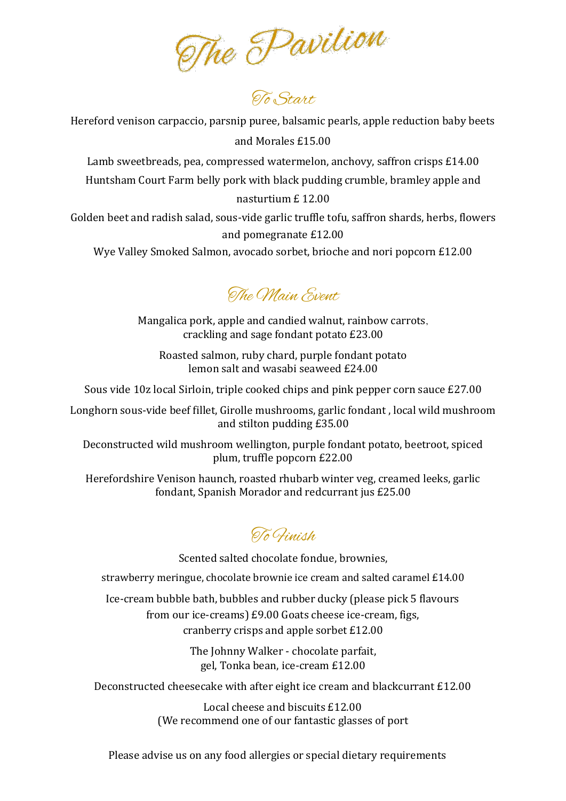The Pavilion

Hereford venison carpaccio, parsnip puree, balsamic pearls, apple reduction baby beets and Morales £15.00

Lamb sweetbreads, pea, compressed watermelon, anchovy, saffron crisps £14.00 Huntsham Court Farm belly pork with black pudding crumble, bramley apple and nasturtium £ 12.00

Golden beet and radish salad, sous-vide garlic truffle tofu, saffron shards, herbs, flowers and pomegranate £12.00

Wye Valley Smoked Salmon, avocado sorbet, brioche and nori popcorn £12.00

The Main Event.

Mangalica pork, apple and candied walnut, rainbow carrots, crackling and sage fondant potato £23.00

Roasted salmon, ruby chard, purple fondant potato lemon salt and wasabi seaweed £24.00

Sous vide 10z local Sirloin, triple cooked chips and pink pepper corn sauce £27.00

Longhorn sous-vide beef fillet, Girolle mushrooms, garlic fondant , local wild mushroom and stilton pudding £35.00

Deconstructed wild mushroom wellington, purple fondant potato, beetroot, spiced plum, truffle popcorn £22.00

Herefordshire Venison haunch, roasted rhubarb winter veg, creamed leeks, garlic fondant, Spanish Morador and redcurrant jus £25.00

To Finish

Scented salted chocolate fondue, brownies,

strawberry meringue, chocolate brownie ice cream and salted caramel £14.00

Ice-cream bubble bath, bubbles and rubber ducky (please pick 5 flavours from our ice-creams) £9.00 Goats cheese ice-cream, figs, cranberry crisps and apple sorbet £12.00

> The Johnny Walker - chocolate parfait, gel, Tonka bean, ice-cream £12.00

Deconstructed cheesecake with after eight ice cream and blackcurrant £12.00

Local cheese and biscuits £12.00 (We recommend one of our fantastic glasses of port

Please advise us on any food allergies or special dietary requirements